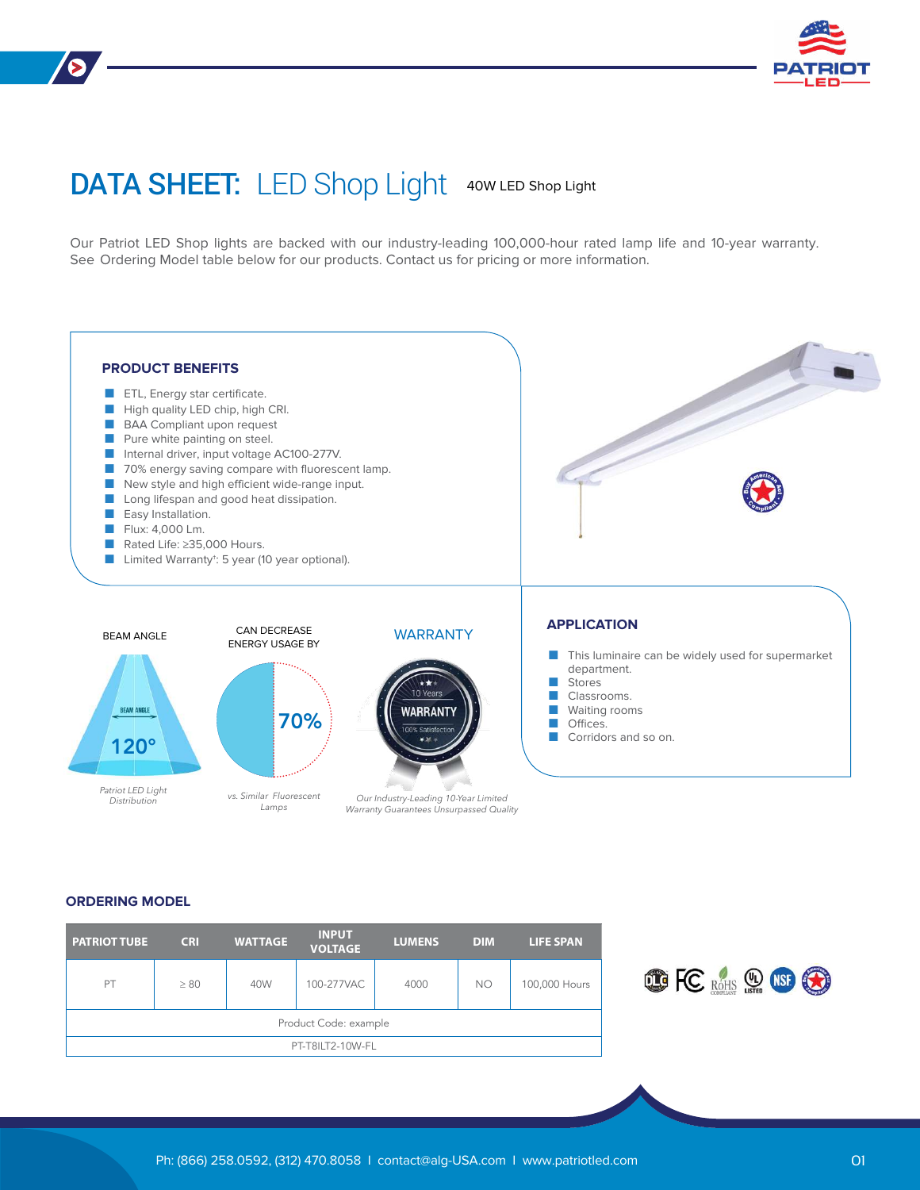# DATA SHEET: LED Shop Light 40W LED Shop Light

Our Patriot LED Shop lights are backed with our industry-leading 100,000-hour rated lamp life and 10-year warranty. See Ordering Model table below for our products. Contact us for pricing or more information.



#### **ORDERING MODEL**

| <b>PATRIOT TUBE</b>   | <b>CRI</b> | <b>WATTAGE</b> | <b>INPUT</b><br><b>VOLTAGE</b> | <b>LUMENS</b> | <b>DIM</b> | <b>LIFE SPAN</b> |  |  |
|-----------------------|------------|----------------|--------------------------------|---------------|------------|------------------|--|--|
| PT                    | $\geq 80$  | 40W            | 100-277VAC                     | 4000          | <b>NO</b>  | 100,000 Hours    |  |  |
| Product Code: example |            |                |                                |               |            |                  |  |  |
| PT-T8ILT2-10W-FL      |            |                |                                |               |            |                  |  |  |